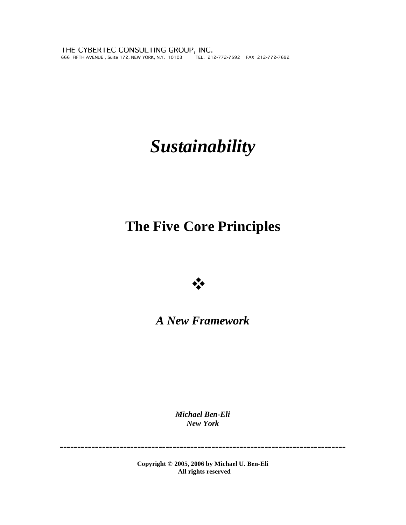666 FIFTH AVENUE , Suite 172, NEW YORK, N.Y. 10103 TEL. 212-772-7592 FAX 212-772-7692 THE CYBERTEC CONSULTING GROUP, INC.

# *Sustainability*

# **The Five Core Principles**



# *A New Framework*

*Michael Ben-Eli New York* 

---------------------------------------------------------------------------------

**Copyright © 2005, 2006 by Michael U. Ben-Eli All rights reserved**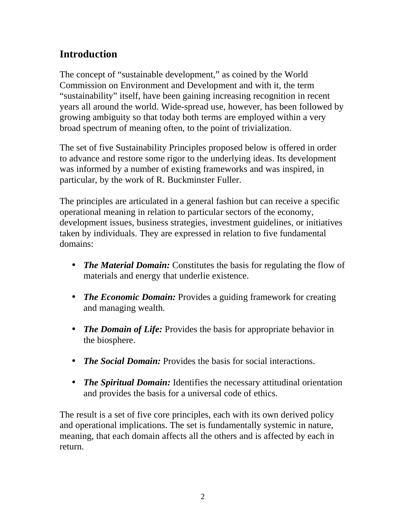# **Introduction**

The concept of "sustainable development," as coined by the World Commission on Environment and Development and with it, the term "sustainability" itself, have been gaining increasing recognition in recent years all around the world. Wide-spread use, however, has been followed by growing ambiguity so that today both terms are employed within a very broad spectrum of meaning often, to the point of trivialization.

The set of five Sustainability Principles proposed below is offered in order to advance and restore some rigor to the underlying ideas. Its development was informed by a number of existing frameworks and was inspired, in particular, by the work of R. Buckminster Fuller.

The principles are articulated in a general fashion but can receive a specific operational meaning in relation to particular sectors of the economy, development issues, business strategies, investment guidelines, or initiatives taken by individuals. They are expressed in relation to five fundamental domains:

- *The Material Domain:* Constitutes the basis for regulating the flow of materials and energy that underlie existence.
- *The Economic Domain:* Provides a guiding framework for creating and managing wealth.
- *The Domain of Life:* Provides the basis for appropriate behavior in the biosphere.
- *The Social Domain:* Provides the basis for social interactions.
- *The Spiritual Domain:* Identifies the necessary attitudinal orientation and provides the basis for a universal code of ethics.

The result is a set of five core principles, each with its own derived policy and operational implications. The set is fundamentally systemic in nature, meaning, that each domain affects all the others and is affected by each in return.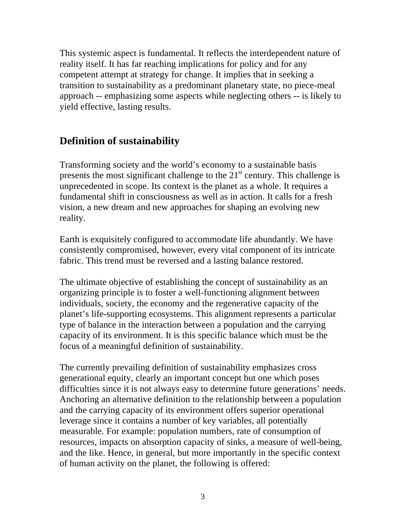This systemic aspect is fundamental. It reflects the interdependent nature of reality itself. It has far reaching implications for policy and for any competent attempt at strategy for change. It implies that in seeking a transition to sustainability as a predominant planetary state, no piece-meal approach -- emphasizing some aspects while neglecting others -- is likely to yield effective, lasting results.

# **Definition of sustainability**

Transforming society and the world's economy to a sustainable basis presents the most significant challenge to the  $21<sup>st</sup>$  century. This challenge is unprecedented in scope. Its context is the planet as a whole. It requires a fundamental shift in consciousness as well as in action. It calls for a fresh vision, a new dream and new approaches for shaping an evolving new reality.

Earth is exquisitely configured to accommodate life abundantly. We have consistently compromised, however, every vital component of its intricate fabric. This trend must be reversed and a lasting balance restored.

The ultimate objective of establishing the concept of sustainability as an organizing principle is to foster a well-functioning alignment between individuals, society, the economy and the regenerative capacity of the planet's life-supporting ecosystems. This alignment represents a particular type of balance in the interaction between a population and the carrying capacity of its environment. It is this specific balance which must be the focus of a meaningful definition of sustainability.

The currently prevailing definition of sustainability emphasizes cross generational equity, clearly an important concept but one which poses difficulties since it is not always easy to determine future generations' needs. Anchoring an alternative definition to the relationship between a population and the carrying capacity of its environment offers superior operational leverage since it contains a number of key variables, all potentially measurable. For example: population numbers, rate of consumption of resources, impacts on absorption capacity of sinks, a measure of well-being, and the like. Hence, in general, but more importantly in the specific context of human activity on the planet, the following is offered: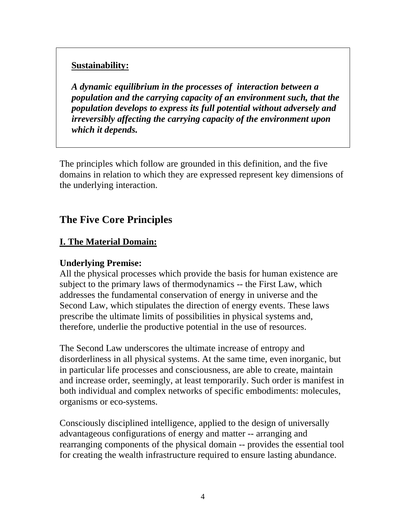#### **Sustainability:**

*A dynamic equilibrium in the processes of interaction between a population and the carrying capacity of an environment such, that the population develops to express its full potential without adversely and irreversibly affecting the carrying capacity of the environment upon which it depends.* 

The principles which follow are grounded in this definition, and the five domains in relation to which they are expressed represent key dimensions of the underlying interaction.

# **The Five Core Principles**

#### **I. The Material Domain:**

#### **Underlying Premise:**

All the physical processes which provide the basis for human existence are subject to the primary laws of thermodynamics -- the First Law, which addresses the fundamental conservation of energy in universe and the Second Law, which stipulates the direction of energy events. These laws prescribe the ultimate limits of possibilities in physical systems and, therefore, underlie the productive potential in the use of resources.

The Second Law underscores the ultimate increase of entropy and disorderliness in all physical systems. At the same time, even inorganic, but in particular life processes and consciousness, are able to create, maintain and increase order, seemingly, at least temporarily. Such order is manifest in both individual and complex networks of specific embodiments: molecules, organisms or eco-systems.

Consciously disciplined intelligence, applied to the design of universally advantageous configurations of energy and matter -- arranging and rearranging components of the physical domain -- provides the essential tool for creating the wealth infrastructure required to ensure lasting abundance.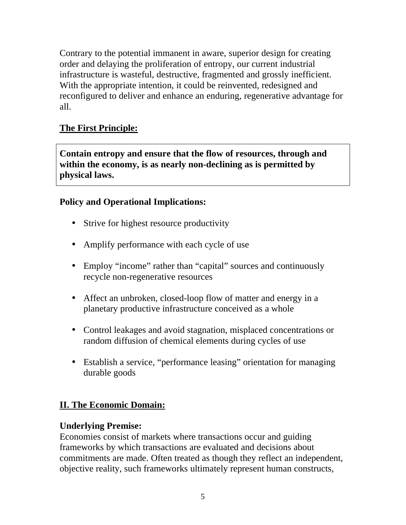Contrary to the potential immanent in aware, superior design for creating order and delaying the proliferation of entropy, our current industrial infrastructure is wasteful, destructive, fragmented and grossly inefficient. With the appropriate intention, it could be reinvented, redesigned and reconfigured to deliver and enhance an enduring, regenerative advantage for all.

# **The First Principle:**

**Contain entropy and ensure that the flow of resources, through and within the economy, is as nearly non-declining as is permitted by physical laws.** 

# **Policy and Operational Implications:**

- Strive for highest resource productivity
- Amplify performance with each cycle of use
- Employ "income" rather than "capital" sources and continuously recycle non-regenerative resources
- Affect an unbroken, closed-loop flow of matter and energy in a planetary productive infrastructure conceived as a whole
- Control leakages and avoid stagnation, misplaced concentrations or random diffusion of chemical elements during cycles of use
- Establish a service, "performance leasing" orientation for managing durable goods

## **II. The Economic Domain:**

## **Underlying Premise:**

Economies consist of markets where transactions occur and guiding frameworks by which transactions are evaluated and decisions about commitments are made. Often treated as though they reflect an independent, objective reality, such frameworks ultimately represent human constructs,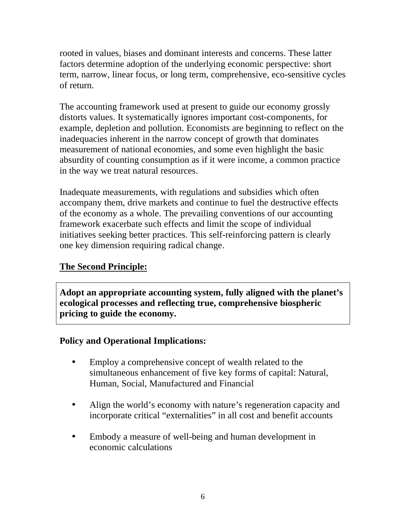rooted in values, biases and dominant interests and concerns. These latter factors determine adoption of the underlying economic perspective: short term, narrow, linear focus, or long term, comprehensive, eco-sensitive cycles of return.

The accounting framework used at present to guide our economy grossly distorts values. It systematically ignores important cost-components, for example, depletion and pollution. Economists are beginning to reflect on the inadequacies inherent in the narrow concept of growth that dominates measurement of national economies, and some even highlight the basic absurdity of counting consumption as if it were income, a common practice in the way we treat natural resources.

Inadequate measurements, with regulations and subsidies which often accompany them, drive markets and continue to fuel the destructive effects of the economy as a whole. The prevailing conventions of our accounting framework exacerbate such effects and limit the scope of individual initiatives seeking better practices. This self-reinforcing pattern is clearly one key dimension requiring radical change.

# **The Second Principle:**

**Adopt an appropriate accounting system, fully aligned with the planet's ecological processes and reflecting true, comprehensive biospheric pricing to guide the economy.** 

# **Policy and Operational Implications:**

- Employ a comprehensive concept of wealth related to the simultaneous enhancement of five key forms of capital: Natural, Human, Social, Manufactured and Financial
- Align the world's economy with nature's regeneration capacity and incorporate critical "externalities" in all cost and benefit accounts
- Embody a measure of well-being and human development in economic calculations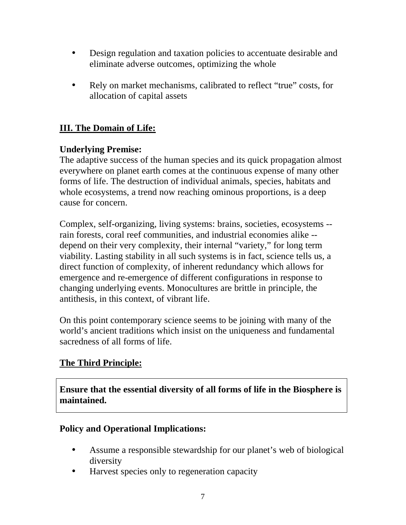- Design regulation and taxation policies to accentuate desirable and eliminate adverse outcomes, optimizing the whole
- Rely on market mechanisms, calibrated to reflect "true" costs, for allocation of capital assets

# **III. The Domain of Life:**

# **Underlying Premise:**

The adaptive success of the human species and its quick propagation almost everywhere on planet earth comes at the continuous expense of many other forms of life. The destruction of individual animals, species, habitats and whole ecosystems, a trend now reaching ominous proportions, is a deep cause for concern.

Complex, self-organizing, living systems: brains, societies, ecosystems - rain forests, coral reef communities, and industrial economies alike - depend on their very complexity, their internal "variety," for long term viability. Lasting stability in all such systems is in fact, science tells us, a direct function of complexity, of inherent redundancy which allows for emergence and re-emergence of different configurations in response to changing underlying events. Monocultures are brittle in principle, the antithesis, in this context, of vibrant life.

On this point contemporary science seems to be joining with many of the world's ancient traditions which insist on the uniqueness and fundamental sacredness of all forms of life.

# **The Third Principle:**

**Ensure that the essential diversity of all forms of life in the Biosphere is maintained.** 

## **Policy and Operational Implications:**

- Assume a responsible stewardship for our planet's web of biological diversity
- Harvest species only to regeneration capacity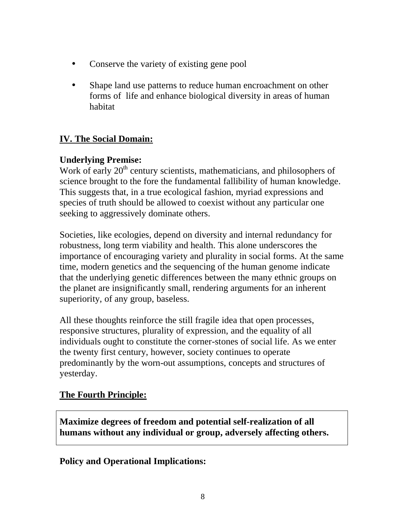- Conserve the variety of existing gene pool
- Shape land use patterns to reduce human encroachment on other forms of life and enhance biological diversity in areas of human habitat

# **IV. The Social Domain:**

# **Underlying Premise:**

Work of early  $20<sup>th</sup>$  century scientists, mathematicians, and philosophers of science brought to the fore the fundamental fallibility of human knowledge. This suggests that, in a true ecological fashion, myriad expressions and species of truth should be allowed to coexist without any particular one seeking to aggressively dominate others.

Societies, like ecologies, depend on diversity and internal redundancy for robustness, long term viability and health. This alone underscores the importance of encouraging variety and plurality in social forms. At the same time, modern genetics and the sequencing of the human genome indicate that the underlying genetic differences between the many ethnic groups on the planet are insignificantly small, rendering arguments for an inherent superiority, of any group, baseless.

All these thoughts reinforce the still fragile idea that open processes, responsive structures, plurality of expression, and the equality of all individuals ought to constitute the corner-stones of social life. As we enter the twenty first century, however, society continues to operate predominantly by the worn-out assumptions, concepts and structures of yesterday.

## **The Fourth Principle:**

**Maximize degrees of freedom and potential self-realization of all humans without any individual or group, adversely affecting others.** 

## **Policy and Operational Implications:**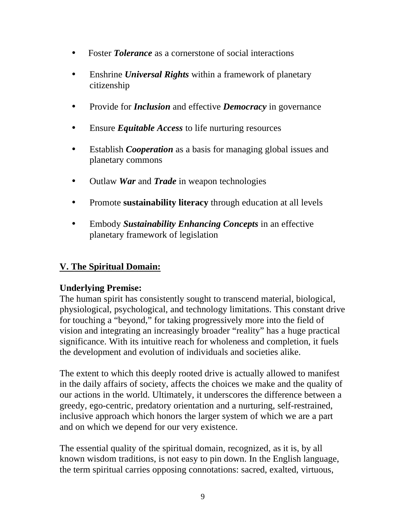- Foster *Tolerance* as a cornerstone of social interactions
- Enshrine *Universal Rights* within a framework of planetary citizenship
- Provide for *Inclusion* and effective *Democracy* in governance
- Ensure *Equitable Access* to life nurturing resources
- Establish *Cooperation* as a basis for managing global issues and planetary commons
- Outlaw *War* and *Trade* in weapon technologies
- Promote **sustainability literacy** through education at all levels
- Embody *Sustainability Enhancing Concepts* in an effective planetary framework of legislation

# **V. The Spiritual Domain:**

## **Underlying Premise:**

The human spirit has consistently sought to transcend material, biological, physiological, psychological, and technology limitations. This constant drive for touching a "beyond," for taking progressively more into the field of vision and integrating an increasingly broader "reality" has a huge practical significance. With its intuitive reach for wholeness and completion, it fuels the development and evolution of individuals and societies alike.

The extent to which this deeply rooted drive is actually allowed to manifest in the daily affairs of society, affects the choices we make and the quality of our actions in the world. Ultimately, it underscores the difference between a greedy, ego-centric, predatory orientation and a nurturing, self-restrained, inclusive approach which honors the larger system of which we are a part and on which we depend for our very existence.

The essential quality of the spiritual domain, recognized, as it is, by all known wisdom traditions, is not easy to pin down. In the English language, the term spiritual carries opposing connotations: sacred, exalted, virtuous,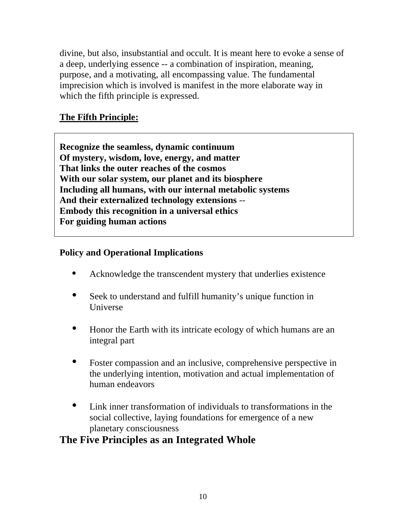divine, but also, insubstantial and occult. It is meant here to evoke a sense of a deep, underlying essence -- a combination of inspiration, meaning, purpose, and a motivating, all encompassing value. The fundamental imprecision which is involved is manifest in the more elaborate way in which the fifth principle is expressed.

# **The Fifth Principle:**

**Recognize the seamless, dynamic continuum Of mystery, wisdom, love, energy, and matter That links the outer reaches of the cosmos With our solar system, our planet and its biosphere Including all humans, with our internal metabolic systems And their externalized technology extensions** -- **Embody this recognition in a universal ethics For guiding human actions** 

## **Policy and Operational Implications**

- Acknowledge the transcendent mystery that underlies existence
- Seek to understand and fulfill humanity's unique function in Universe
- Honor the Earth with its intricate ecology of which humans are an integral part
- Foster compassion and an inclusive, comprehensive perspective in the underlying intention, motivation and actual implementation of human endeavors
- Link inner transformation of individuals to transformations in the social collective, laying foundations for emergence of a new planetary consciousness

# **The Five Principles as an Integrated Whole**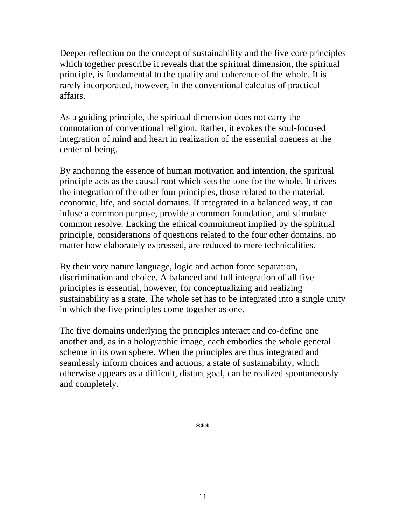Deeper reflection on the concept of sustainability and the five core principles which together prescribe it reveals that the spiritual dimension, the spiritual principle, is fundamental to the quality and coherence of the whole. It is rarely incorporated, however, in the conventional calculus of practical affairs.

As a guiding principle, the spiritual dimension does not carry the connotation of conventional religion. Rather, it evokes the soul-focused integration of mind and heart in realization of the essential oneness at the center of being.

By anchoring the essence of human motivation and intention, the spiritual principle acts as the causal root which sets the tone for the whole. It drives the integration of the other four principles, those related to the material, economic, life, and social domains. If integrated in a balanced way, it can infuse a common purpose, provide a common foundation, and stimulate common resolve. Lacking the ethical commitment implied by the spiritual principle, considerations of questions related to the four other domains, no matter how elaborately expressed, are reduced to mere technicalities.

By their very nature language, logic and action force separation, discrimination and choice. A balanced and full integration of all five principles is essential, however, for conceptualizing and realizing sustainability as a state. The whole set has to be integrated into a single unity in which the five principles come together as one.

The five domains underlying the principles interact and co-define one another and, as in a holographic image, each embodies the whole general scheme in its own sphere. When the principles are thus integrated and seamlessly inform choices and actions, a state of sustainability, which otherwise appears as a difficult, distant goal, can be realized spontaneously and completely.

**\*\*\***